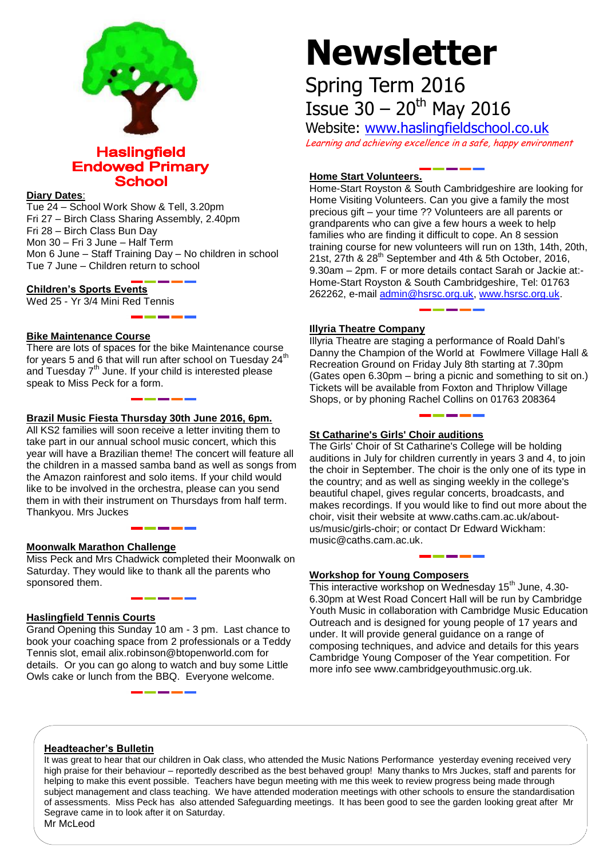

## **Haslingfield Endowed Primary School**

## **Diary Dates**:

Tue 24 – School Work Show & Tell, 3.20pm Fri 27 – Birch Class Sharing Assembly, 2.40pm Fri 28 – Birch Class Bun Day Mon 30 – Fri 3 June – Half Term Mon 6 June – Staff Training Day – No children in school Tue 7 June – Children return to school

## **Children's Sports Events**

Wed 25 - Yr 3/4 Mini Red Tennis

## **Bike Maintenance Course**

There are lots of spaces for the bike Maintenance course for years 5 and 6 that will run after school on Tuesday 24<sup>th</sup> and Tuesday  $7<sup>th</sup>$  June. If your child is interested please speak to Miss Peck for a form.

## **Brazil Music Fiesta Thursday 30th June 2016, 6pm.**

All KS2 families will soon receive a letter inviting them to take part in our annual school music concert, which this year will have a Brazilian theme! The concert will feature all the children in a massed samba band as well as songs from the Amazon rainforest and solo items. If your child would like to be involved in the orchestra, please can you send them in with their instrument on Thursdays from half term. Thankyou. Mrs Juckes

#### **Moonwalk Marathon Challenge**

Miss Peck and Mrs Chadwick completed their Moonwalk on Saturday. They would like to thank all the parents who sponsored them.

## **Haslingfield Tennis Courts**

Grand Opening this Sunday 10 am - 3 pm. Last chance to book your coaching space from 2 professionals or a Teddy Tennis slot, email alix.robinson@btopenworld.com for details. Or you can go along to watch and buy some Little Owls cake or lunch from the BBQ. Everyone welcome.

# **Newsletter**

## Spring Term 2016 Issue  $30 - 20$ <sup>th</sup> May 2016

Website: [www.haslingfieldschool.co.uk](http://www.haslingfieldschool.co.uk/) Learning and achieving excellence in a safe, happy environment

## **Home Start Volunteers.**

Home-Start Royston & South Cambridgeshire are looking for Home Visiting Volunteers. Can you give a family the most precious gift – your time ?? Volunteers are all parents or grandparents who can give a few hours a week to help families who are finding it difficult to cope. An 8 session training course for new volunteers will run on 13th, 14th, 20th, 21st,  $27$ th &  $28<sup>th</sup>$  September and 4th & 5th October, 2016, 9.30am – 2pm. F or more details contact Sarah or Jackie at:- Home-Start Royston & South Cambridgeshire, Tel: 01763 262262, e-mail [admin@hsrsc.org.uk,](mailto:admin@hsrsc.org.uk) [www.hsrsc.org.uk.](http://www.hsrsc.org.uk/)

## **Illyria Theatre Company**

Illyria Theatre are staging a performance of Roald Dahl's Danny the Champion of the World at Fowlmere Village Hall & Recreation Ground on Friday July 8th starting at 7.30pm (Gates open 6.30pm – bring a picnic and something to sit on.) Tickets will be available from Foxton and Thriplow Village Shops, or by phoning Rachel Collins on 01763 208364

## **St Catharine's Girls' Choir auditions**

The Girls' Choir of St Catharine's College will be holding auditions in July for children currently in years 3 and 4, to join the choir in September. The choir is the only one of its type in the country; and as well as singing weekly in the college's beautiful chapel, gives regular concerts, broadcasts, and makes recordings. If you would like to find out more about the choir, visit their website at www.caths.cam.ac.uk/aboutus/music/girls-choir; or contact Dr Edward Wickham: music@caths.cam.ac.uk.

## **Workshop for Young Composers**

This interactive workshop on Wednesday  $15<sup>th</sup>$  June, 4.30-6.30pm at West Road Concert Hall will be run by Cambridge Youth Music in collaboration with Cambridge Music Education Outreach and is designed for young people of 17 years and under. It will provide general guidance on a range of composing techniques, and advice and details for this years Cambridge Young Composer of the Year competition. For more info see www.cambridgeyouthmusic.org.uk.

## **Headteacher's Bulletin**

It was great to hear that our children in Oak class, who attended the Music Nations Performance yesterday evening received very high praise for their behaviour – reportedly described as the best behaved group! Many thanks to Mrs Juckes, staff and parents for helping to make this event possible. Teachers have begun meeting with me this week to review progress being made through subject management and class teaching. We have attended moderation meetings with other schools to ensure the standardisation of assessments. Miss Peck has also attended Safeguarding meetings. It has been good to see the garden looking great after Mr Segrave came in to look after it on Saturday.

Mr McLeod